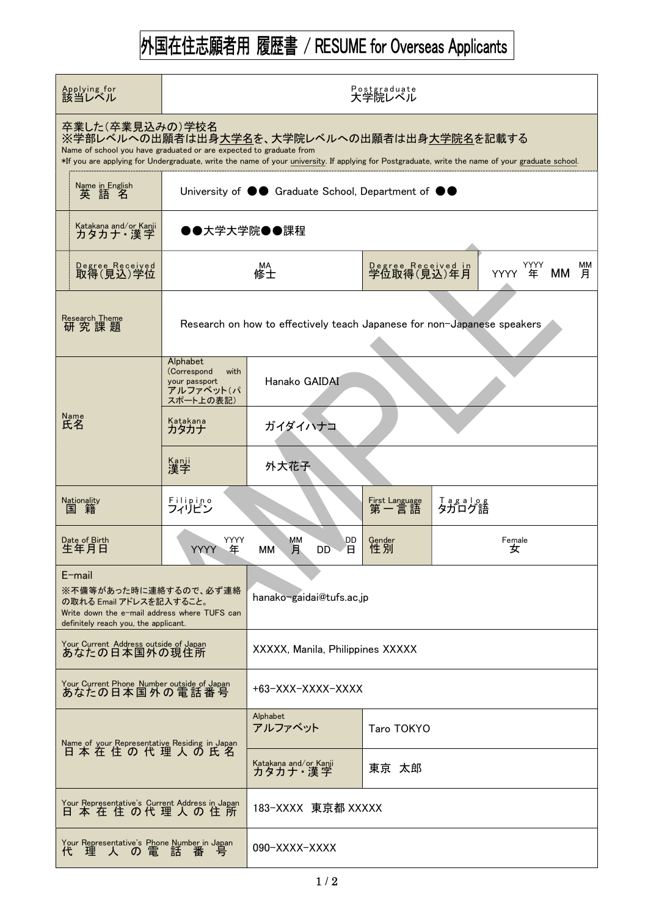## 外国在住志願者用 履歴書 / RESUME for Overseas Applicants

| Applying for<br>該当レベル                                                                                                                                                                                                                                                                   | Postgraduate<br>大学院レベル                                                         |                                              |                        |                  |             |         |  |  |  |
|-----------------------------------------------------------------------------------------------------------------------------------------------------------------------------------------------------------------------------------------------------------------------------------------|--------------------------------------------------------------------------------|----------------------------------------------|------------------------|------------------|-------------|---------|--|--|--|
| 卒業した(卒業見込みの)学校名<br>※学部レベルへの出願者は出身大学名を、大学院レベルへの出願者は出身大学院名を記載する<br>Name of school you have graduated or are expected to graduate from<br>*If you are applying for Undergraduate, write the name of your university. If applying for Postgraduate, write the name of your graduate school. |                                                                                |                                              |                        |                  |             |         |  |  |  |
| Name in English<br>英語名                                                                                                                                                                                                                                                                  | University of $\bullet\bullet$ Graduate School, Department of $\bullet\bullet$ |                                              |                        |                  |             |         |  |  |  |
| Katakana and/or Kanji<br>カタカナ・漢字                                                                                                                                                                                                                                                        | ●●大学大学院●●課程                                                                    |                                              |                        |                  |             |         |  |  |  |
| Degree Received<br>取得(見込)学位                                                                                                                                                                                                                                                             |                                                                                | Degree Received in<br>学位取得(見込)年月             |                        | YYYY<br>年        | YYYY<br>мм  | мм<br>月 |  |  |  |
| Research Theme<br>研究課題                                                                                                                                                                                                                                                                  | Research on how to effectively teach Japanese for non-Japanese speakers        |                                              |                        |                  |             |         |  |  |  |
|                                                                                                                                                                                                                                                                                         | Alphabet<br>(Correspond<br>with<br>your passport<br>アルファベット(パ<br>スポート上の表記)     | Hanako GAIDAI                                |                        |                  |             |         |  |  |  |
| <sub>Name</sub><br>氏名                                                                                                                                                                                                                                                                   | Katakana<br>カタカナ                                                               | ガイダイハナコ                                      |                        |                  |             |         |  |  |  |
|                                                                                                                                                                                                                                                                                         | K <u>anji</u><br>漢字                                                            | 外大花子                                         |                        |                  |             |         |  |  |  |
| Nationality<br>国<br>籍                                                                                                                                                                                                                                                                   | Filipino<br>フィリピン                                                              |                                              | First Language<br>第一言語 | Tagalog<br>タガログ語 |             |         |  |  |  |
| Date of Birth<br>生年月日                                                                                                                                                                                                                                                                   | YYYY<br><b>YYYY</b><br>年                                                       | мм<br>DD<br>DD <sup>-</sup><br>Έ<br>MM.<br>月 | Gender<br>性別           |                  | Female<br>女 |         |  |  |  |
| $E$ -mail<br>※不備等があった時に連絡するので、必ず連絡<br>の取れる Email アドレスを記入すること。<br>Write down the e-mail address where TUFS can<br>definitely reach you, the applicant.                                                                                                                                   |                                                                                | hanako-gaidai@tufs.ac.jp                     |                        |                  |             |         |  |  |  |
| Your Current Address outside of Japan<br>あなたの日本国外の現住所                                                                                                                                                                                                                                   |                                                                                | XXXXX, Manila, Philippines XXXXX             |                        |                  |             |         |  |  |  |
| Your Current Phone Number outside of Japan<br>あなたの日本国外の電話番号                                                                                                                                                                                                                             |                                                                                | $+63-XXX-XXXX-XXXX$                          |                        |                  |             |         |  |  |  |
| Name of your Representative Residing in Japan<br>日 本 在 住 の 代 理 人 の 氏 名                                                                                                                                                                                                                  |                                                                                | Alphabet<br>アルファベット                          | Taro TOKYO             |                  |             |         |  |  |  |
|                                                                                                                                                                                                                                                                                         |                                                                                | Katakana and/or Kanji                        | 東京 太郎                  |                  |             |         |  |  |  |
| Your Representative's Current Address in Japan<br>日本在住の代理人の住所                                                                                                                                                                                                                           |                                                                                | 183-XXXX 東京都 XXXXX                           |                        |                  |             |         |  |  |  |
| Your Representative's Phone Number in Japan<br>理<br>代<br>の 電                                                                                                                                                                                                                            | 詁<br>奋                                                                         | 090-XXXX-XXXX                                |                        |                  |             |         |  |  |  |